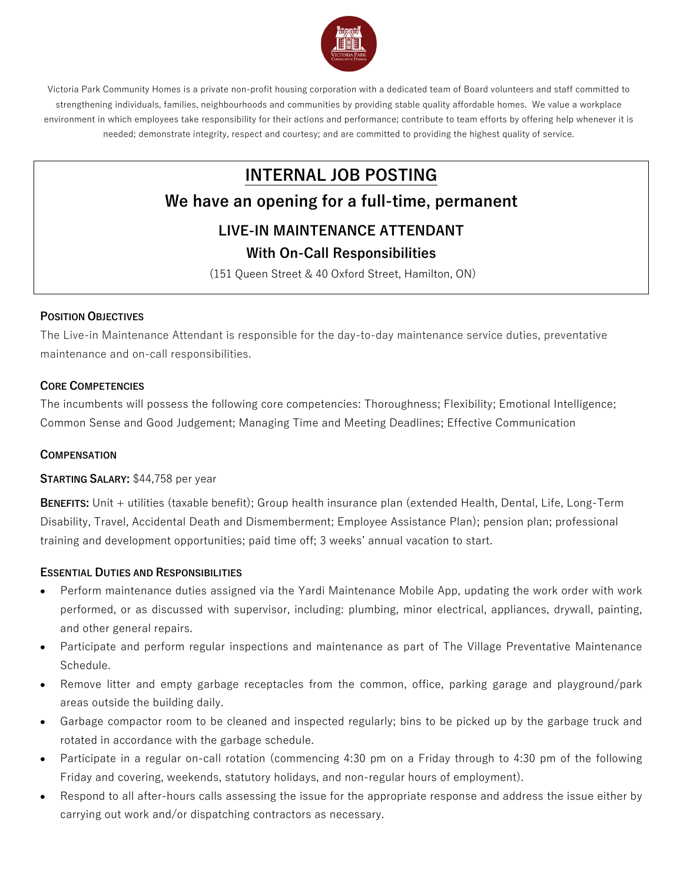

Victoria Park Community Homes is a private non-profit housing corporation with a dedicated team of Board volunteers and staff committed to strengthening individuals, families, neighbourhoods and communities by providing stable quality affordable homes. We value a workplace environment in which employees take responsibility for their actions and performance; contribute to team efforts by offering help whenever it is needed; demonstrate integrity, respect and courtesy; and are committed to providing the highest quality of service.

# **INTERNAL JOB POSTING**

# **We have an opening for a full-time, permanent**

# **LIVE-IN MAINTENANCE ATTENDANT**

## **With On-Call Responsibilities**

(151 Queen Street & 40 Oxford Street, Hamilton, ON)

#### **POSITION OBJECTIVES**

The Live-in Maintenance Attendant is responsible for the day-to-day maintenance service duties, preventative maintenance and on-call responsibilities.

#### **CORE COMPETENCIES**

The incumbents will possess the following core competencies: Thoroughness; Flexibility; Emotional Intelligence; Common Sense and Good Judgement; Managing Time and Meeting Deadlines; Effective Communication

#### **COMPENSATION**

#### **STARTING SALARY:** \$44,758 per year

**BENEFITS:** Unit + utilities (taxable benefit); Group health insurance plan (extended Health, Dental, Life, Long-Term Disability, Travel, Accidental Death and Dismemberment; Employee Assistance Plan); pension plan; professional training and development opportunities; paid time off; 3 weeks' annual vacation to start.

#### **ESSENTIAL DUTIES AND RESPONSIBILITIES**

- Perform maintenance duties assigned via the Yardi Maintenance Mobile App, updating the work order with work performed, or as discussed with supervisor, including: plumbing, minor electrical, appliances, drywall, painting, and other general repairs.
- Participate and perform regular inspections and maintenance as part of The Village Preventative Maintenance Schedule.
- Remove litter and empty garbage receptacles from the common, office, parking garage and playground/park areas outside the building daily.
- Garbage compactor room to be cleaned and inspected regularly; bins to be picked up by the garbage truck and rotated in accordance with the garbage schedule.
- Participate in a regular on-call rotation (commencing 4:30 pm on a Friday through to 4:30 pm of the following Friday and covering, weekends, statutory holidays, and non-regular hours of employment).
- Respond to all after-hours calls assessing the issue for the appropriate response and address the issue either by carrying out work and/or dispatching contractors as necessary.